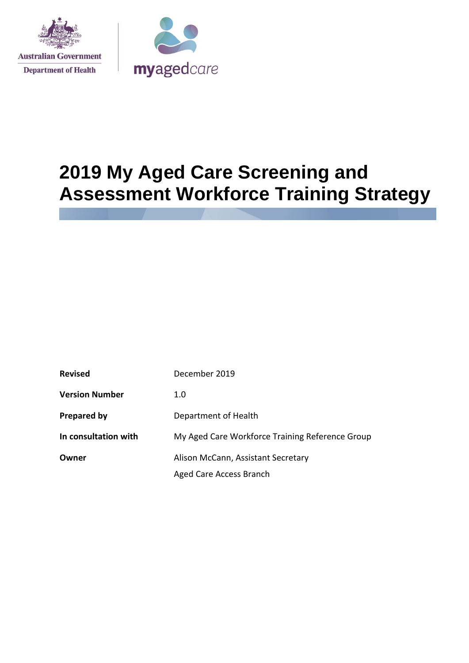



# **2019 My Aged Care Screening and Assessment Workforce Training Strategy**

| <b>Revised</b>        | December 2019                                   |
|-----------------------|-------------------------------------------------|
| <b>Version Number</b> | 1.0                                             |
| <b>Prepared by</b>    | Department of Health                            |
| In consultation with  | My Aged Care Workforce Training Reference Group |
| Owner                 | Alison McCann, Assistant Secretary              |
|                       | Aged Care Access Branch                         |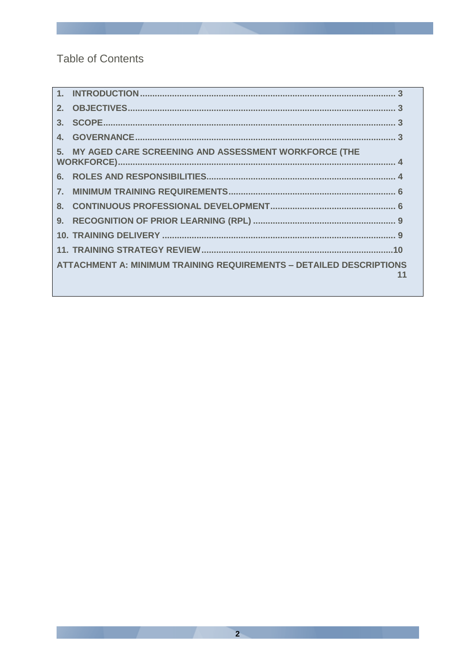**Table of Contents** 

| $3-$    |                                                                            |    |
|---------|----------------------------------------------------------------------------|----|
|         |                                                                            |    |
|         | 5. MY AGED CARE SCREENING AND ASSESSMENT WORKFORCE (THE                    |    |
|         |                                                                            |    |
|         |                                                                            |    |
| $8_{-}$ |                                                                            |    |
|         |                                                                            |    |
|         |                                                                            |    |
|         |                                                                            |    |
|         | <b>ATTACHMENT A: MINIMUM TRAINING REQUIREMENTS - DETAILED DESCRIPTIONS</b> | 11 |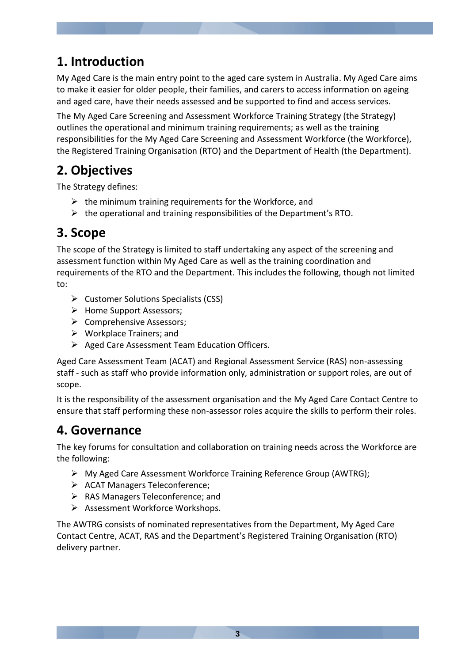# **1. Introduction**

My Aged Care is the main entry point to the aged care system in Australia. My Aged Care aims to make it easier for older people, their families, and carers to access information on ageing and aged care, have their needs assessed and be supported to find and access services.

The My Aged Care Screening and Assessment Workforce Training Strategy (the Strategy) outlines the operational and minimum training requirements; as well as the training responsibilities for the My Aged Care Screening and Assessment Workforce (the Workforce), the Registered Training Organisation (RTO) and the Department of Health (the Department).

# **2. Objectives**

The Strategy defines:

- $\triangleright$  the minimum training requirements for the Workforce, and
- $\triangleright$  the operational and training responsibilities of the Department's RTO.

# **3. Scope**

The scope of the Strategy is limited to staff undertaking any aspect of the screening and assessment function within My Aged Care as well as the training coordination and requirements of the RTO and the Department. This includes the following, though not limited to:

- $\triangleright$  Customer Solutions Specialists (CSS)
- $\triangleright$  Home Support Assessors;
- $\triangleright$  Comprehensive Assessors;
- $\triangleright$  Workplace Trainers; and
- $\triangleright$  Aged Care Assessment Team Education Officers.

Aged Care Assessment Team (ACAT) and Regional Assessment Service (RAS) non-assessing staff - such as staff who provide information only, administration or support roles, are out of scope.

It is the responsibility of the assessment organisation and the My Aged Care Contact Centre to ensure that staff performing these non-assessor roles acquire the skills to perform their roles.

# **4. Governance**

The key forums for consultation and collaboration on training needs across the Workforce are the following:

- My Aged Care Assessment Workforce Training Reference Group (AWTRG);
- $\triangleright$  ACAT Managers Teleconference;
- RAS Managers Teleconference; and
- $\triangleright$  Assessment Workforce Workshops.

The AWTRG consists of nominated representatives from the Department, My Aged Care Contact Centre, ACAT, RAS and the Department's Registered Training Organisation (RTO) delivery partner.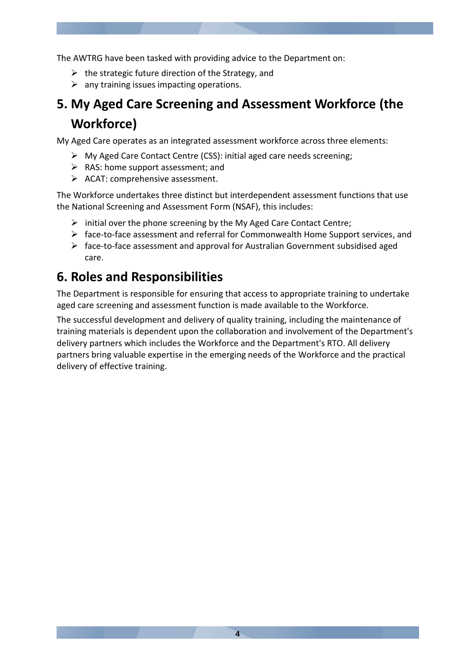The AWTRG have been tasked with providing advice to the Department on:

- $\triangleright$  the strategic future direction of the Strategy, and
- $\triangleright$  any training issues impacting operations.

# **5. My Aged Care Screening and Assessment Workforce (the Workforce)**

My Aged Care operates as an integrated assessment workforce across three elements:

- My Aged Care Contact Centre (CSS): initial aged care needs screening;
- $\triangleright$  RAS: home support assessment; and
- $\triangleright$  ACAT: comprehensive assessment.

The Workforce undertakes three distinct but interdependent assessment functions that use the National Screening and Assessment Form (NSAF), this includes:

- $\triangleright$  initial over the phone screening by the My Aged Care Contact Centre;
- $\triangleright$  face-to-face assessment and referral for Commonwealth Home Support services, and
- $\triangleright$  face-to-face assessment and approval for Australian Government subsidised aged care.

## **6. Roles and Responsibilities**

The Department is responsible for ensuring that access to appropriate training to undertake aged care screening and assessment function is made available to the Workforce.

The successful development and delivery of quality training, including the maintenance of training materials is dependent upon the collaboration and involvement of the Department's delivery partners which includes the Workforce and the Department's RTO. All delivery partners bring valuable expertise in the emerging needs of the Workforce and the practical delivery of effective training.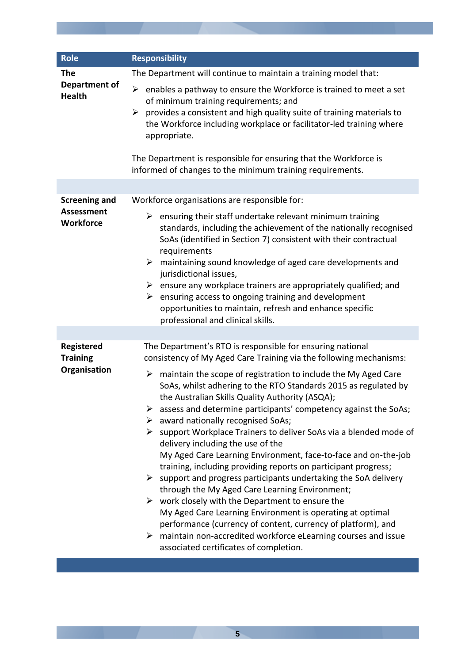| <b>Role</b>                                                   | <b>Responsibility</b>                                                                                                                                                                                                                                                                                                                                                                                                                                                                                                                                                                                                                                                                                                                                                                                                                                                                                                                                                                                                                                                                                                                                                         |  |
|---------------------------------------------------------------|-------------------------------------------------------------------------------------------------------------------------------------------------------------------------------------------------------------------------------------------------------------------------------------------------------------------------------------------------------------------------------------------------------------------------------------------------------------------------------------------------------------------------------------------------------------------------------------------------------------------------------------------------------------------------------------------------------------------------------------------------------------------------------------------------------------------------------------------------------------------------------------------------------------------------------------------------------------------------------------------------------------------------------------------------------------------------------------------------------------------------------------------------------------------------------|--|
| <b>The</b>                                                    | The Department will continue to maintain a training model that:                                                                                                                                                                                                                                                                                                                                                                                                                                                                                                                                                                                                                                                                                                                                                                                                                                                                                                                                                                                                                                                                                                               |  |
| <b>Department of</b><br><b>Health</b>                         | ➤<br>enables a pathway to ensure the Workforce is trained to meet a set<br>of minimum training requirements; and<br>provides a consistent and high quality suite of training materials to<br>➤<br>the Workforce including workplace or facilitator-led training where<br>appropriate.<br>The Department is responsible for ensuring that the Workforce is<br>informed of changes to the minimum training requirements.                                                                                                                                                                                                                                                                                                                                                                                                                                                                                                                                                                                                                                                                                                                                                        |  |
|                                                               |                                                                                                                                                                                                                                                                                                                                                                                                                                                                                                                                                                                                                                                                                                                                                                                                                                                                                                                                                                                                                                                                                                                                                                               |  |
| <b>Screening and</b><br><b>Assessment</b><br><b>Workforce</b> | Workforce organisations are responsible for:<br>ensuring their staff undertake relevant minimum training<br>➤<br>standards, including the achievement of the nationally recognised<br>SoAs (identified in Section 7) consistent with their contractual<br>requirements<br>maintaining sound knowledge of aged care developments and<br>➤<br>jurisdictional issues,<br>$\triangleright$ ensure any workplace trainers are appropriately qualified; and<br>ensuring access to ongoing training and development<br>➤<br>opportunities to maintain, refresh and enhance specific<br>professional and clinical skills.                                                                                                                                                                                                                                                                                                                                                                                                                                                                                                                                                             |  |
|                                                               |                                                                                                                                                                                                                                                                                                                                                                                                                                                                                                                                                                                                                                                                                                                                                                                                                                                                                                                                                                                                                                                                                                                                                                               |  |
| Registered<br><b>Training</b><br>Organisation                 | The Department's RTO is responsible for ensuring national<br>consistency of My Aged Care Training via the following mechanisms:<br>maintain the scope of registration to include the My Aged Care<br>➤<br>SoAs, whilst adhering to the RTO Standards 2015 as regulated by<br>the Australian Skills Quality Authority (ASQA);<br>assess and determine participants' competency against the SoAs;<br>➤<br>$\triangleright$ award nationally recognised SoAs;<br>$\triangleright$ support Workplace Trainers to deliver SoAs via a blended mode of<br>delivery including the use of the<br>My Aged Care Learning Environment, face-to-face and on-the-job<br>training, including providing reports on participant progress;<br>$\triangleright$ support and progress participants undertaking the SoA delivery<br>through the My Aged Care Learning Environment;<br>$\triangleright$ work closely with the Department to ensure the<br>My Aged Care Learning Environment is operating at optimal<br>performance (currency of content, currency of platform), and<br>maintain non-accredited workforce eLearning courses and issue<br>➤<br>associated certificates of completion. |  |

**5**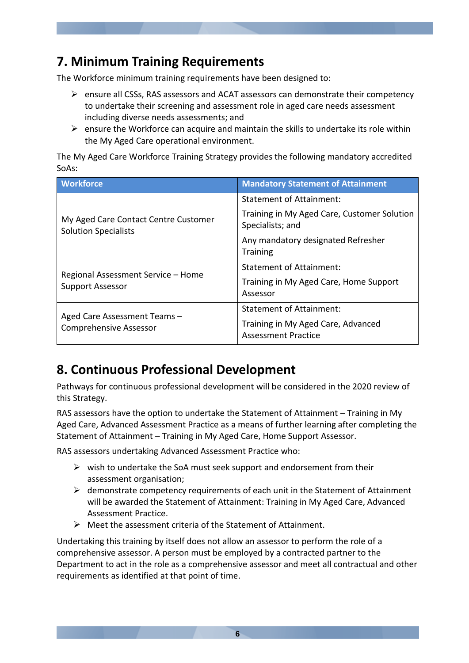# **7. Minimum Training Requirements**

The Workforce minimum training requirements have been designed to:

- $\triangleright$  ensure all CSSs, RAS assessors and ACAT assessors can demonstrate their competency to undertake their screening and assessment role in aged care needs assessment including diverse needs assessments; and
- $\triangleright$  ensure the Workforce can acquire and maintain the skills to undertake its role within the My Aged Care operational environment.

The My Aged Care Workforce Training Strategy provides the following mandatory accredited SoAs:

| <b>Workforce</b>                                                    | <b>Mandatory Statement of Attainment</b>                         |
|---------------------------------------------------------------------|------------------------------------------------------------------|
|                                                                     | Statement of Attainment:                                         |
| My Aged Care Contact Centre Customer<br><b>Solution Specialists</b> | Training in My Aged Care, Customer Solution<br>Specialists; and  |
|                                                                     | Any mandatory designated Refresher<br><b>Training</b>            |
| Regional Assessment Service - Home                                  | <b>Statement of Attainment:</b>                                  |
| <b>Support Assessor</b>                                             | Training in My Aged Care, Home Support<br>Assessor               |
|                                                                     | <b>Statement of Attainment:</b>                                  |
| Aged Care Assessment Teams -<br><b>Comprehensive Assessor</b>       | Training in My Aged Care, Advanced<br><b>Assessment Practice</b> |

# **8. Continuous Professional Development**

Pathways for continuous professional development will be considered in the 2020 review of this Strategy.

RAS assessors have the option to undertake the Statement of Attainment – Training in My Aged Care, Advanced Assessment Practice as a means of further learning after completing the Statement of Attainment – Training in My Aged Care, Home Support Assessor.

RAS assessors undertaking Advanced Assessment Practice who:

- $\triangleright$  wish to undertake the SoA must seek support and endorsement from their assessment organisation;
- $\triangleright$  demonstrate competency requirements of each unit in the Statement of Attainment will be awarded the Statement of Attainment: Training in My Aged Care, Advanced Assessment Practice.
- $\triangleright$  Meet the assessment criteria of the Statement of Attainment.

Undertaking this training by itself does not allow an assessor to perform the role of a comprehensive assessor. A person must be employed by a contracted partner to the Department to act in the role as a comprehensive assessor and meet all contractual and other requirements as identified at that point of time.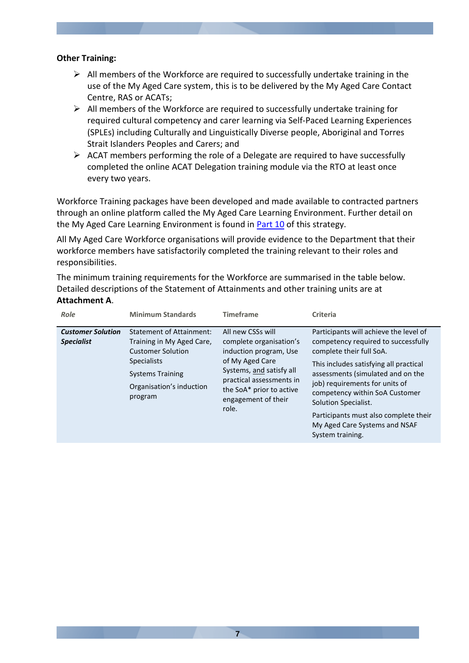#### **Other Training:**

- $\triangleright$  All members of the Workforce are required to successfully undertake training in the use of the My Aged Care system, this is to be delivered by the My Aged Care Contact Centre, RAS or ACATs;
- $\triangleright$  All members of the Workforce are required to successfully undertake training for required cultural competency and carer learning via Self-Paced Learning Experiences (SPLEs) including Culturally and Linguistically Diverse people, Aboriginal and Torres Strait Islanders Peoples and Carers; and
- $\triangleright$  ACAT members performing the role of a Delegate are required to have successfully completed the online ACAT Delegation training module via the RTO at least once every two years.

Workforce Training packages have been developed and made available to contracted partners through an online platform called the My Aged Care Learning Environment. Further detail on the My Aged Care Learning Environment is found in [Part 10](#page-8-0) of this strategy.

All My Aged Care Workforce organisations will provide evidence to the Department that their workforce members have satisfactorily completed the training relevant to their roles and responsibilities.

The minimum training requirements for the Workforce are summarised in the table below. Detailed descriptions of the Statement of Attainments and other training units are at **Attachment A**.

| Role                                          | <b>Minimum Standards</b>                                                                                                                                                         | <b>Timeframe</b>                                                                                                                                                                                              | Criteria                                                                                                                                                                                                                                                                                                                                                                           |
|-----------------------------------------------|----------------------------------------------------------------------------------------------------------------------------------------------------------------------------------|---------------------------------------------------------------------------------------------------------------------------------------------------------------------------------------------------------------|------------------------------------------------------------------------------------------------------------------------------------------------------------------------------------------------------------------------------------------------------------------------------------------------------------------------------------------------------------------------------------|
| <b>Customer Solution</b><br><b>Specialist</b> | <b>Statement of Attainment:</b><br>Training in My Aged Care,<br><b>Customer Solution</b><br><b>Specialists</b><br><b>Systems Training</b><br>Organisation's induction<br>program | All new CSSs will<br>complete organisation's<br>induction program, Use<br>of My Aged Care<br>Systems, and satisfy all<br>practical assessments in<br>the SoA* prior to active<br>engagement of their<br>role. | Participants will achieve the level of<br>competency required to successfully<br>complete their full SoA.<br>This includes satisfying all practical<br>assessments (simulated and on the<br>job) requirements for units of<br>competency within SoA Customer<br>Solution Specialist.<br>Participants must also complete their<br>My Aged Care Systems and NSAF<br>System training. |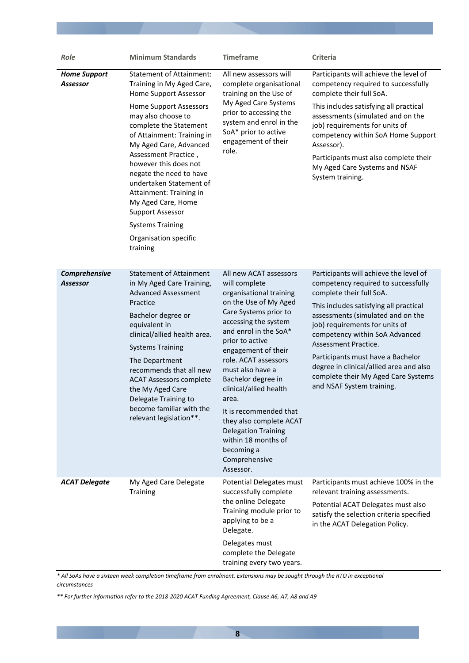| Role                             | <b>Minimum Standards</b>                                                                                                                                                                                                                                                                                                                                                                                                                                                          | <b>Timeframe</b>                                                                                                                                                                                                                                                                                                                                                                                                                                                           | <b>Criteria</b>                                                                                                                                                                                                                                                                                                                                                                                                                          |
|----------------------------------|-----------------------------------------------------------------------------------------------------------------------------------------------------------------------------------------------------------------------------------------------------------------------------------------------------------------------------------------------------------------------------------------------------------------------------------------------------------------------------------|----------------------------------------------------------------------------------------------------------------------------------------------------------------------------------------------------------------------------------------------------------------------------------------------------------------------------------------------------------------------------------------------------------------------------------------------------------------------------|------------------------------------------------------------------------------------------------------------------------------------------------------------------------------------------------------------------------------------------------------------------------------------------------------------------------------------------------------------------------------------------------------------------------------------------|
| <b>Home Support</b><br>Assessor  | <b>Statement of Attainment:</b><br>Training in My Aged Care,<br>Home Support Assessor<br><b>Home Support Assessors</b><br>may also choose to<br>complete the Statement<br>of Attainment: Training in<br>My Aged Care, Advanced<br>Assessment Practice,<br>however this does not<br>negate the need to have<br>undertaken Statement of<br>Attainment: Training in<br>My Aged Care, Home<br><b>Support Assessor</b><br><b>Systems Training</b><br>Organisation specific<br>training | All new assessors will<br>complete organisational<br>training on the Use of<br>My Aged Care Systems<br>prior to accessing the<br>system and enrol in the<br>SoA* prior to active<br>engagement of their<br>role.                                                                                                                                                                                                                                                           | Participants will achieve the level of<br>competency required to successfully<br>complete their full SoA.<br>This includes satisfying all practical<br>assessments (simulated and on the<br>job) requirements for units of<br>competency within SoA Home Support<br>Assessor).<br>Participants must also complete their<br>My Aged Care Systems and NSAF<br>System training.                                                             |
| Comprehensive<br><b>Assessor</b> | <b>Statement of Attainment</b><br>in My Aged Care Training,<br><b>Advanced Assessment</b><br>Practice<br>Bachelor degree or<br>equivalent in<br>clinical/allied health area.<br><b>Systems Training</b><br>The Department<br>recommends that all new<br><b>ACAT Assessors complete</b><br>the My Aged Care<br>Delegate Training to<br>become familiar with the<br>relevant legislation**.                                                                                         | All new ACAT assessors<br>will complete<br>organisational training<br>on the Use of My Aged<br>Care Systems prior to<br>accessing the system<br>and enrol in the SoA*<br>prior to active<br>engagement of their<br>role. ACAT assessors<br>must also have a<br>Bachelor degree in<br>clinical/allied health<br>area.<br>It is recommended that<br>they also complete ACAT<br><b>Delegation Training</b><br>within 18 months of<br>becoming a<br>Comprehensive<br>Assessor. | Participants will achieve the level of<br>competency required to successfully<br>complete their full SoA.<br>This includes satisfying all practical<br>assessments (simulated and on the<br>job) requirements for units of<br>competency within SoA Advanced<br>Assessment Practice.<br>Participants must have a Bachelor<br>degree in clinical/allied area and also<br>complete their My Aged Care Systems<br>and NSAF System training. |
| <b>ACAT Delegate</b>             | My Aged Care Delegate<br><b>Training</b>                                                                                                                                                                                                                                                                                                                                                                                                                                          | Potential Delegates must<br>successfully complete<br>the online Delegate<br>Training module prior to<br>applying to be a<br>Delegate.<br>Delegates must<br>complete the Delegate<br>training every two years.                                                                                                                                                                                                                                                              | Participants must achieve 100% in the<br>relevant training assessments.<br>Potential ACAT Delegates must also<br>satisfy the selection criteria specified<br>in the ACAT Delegation Policy.                                                                                                                                                                                                                                              |

*\* All SoAs have a sixteen week completion timeframe from enrolment. Extensions may be sought through the RTO in exceptional circumstances*

*\*\* For further information refer to the 2018-2020 ACAT Funding Agreement, Clause A6, A7, A8 and A9*

**8**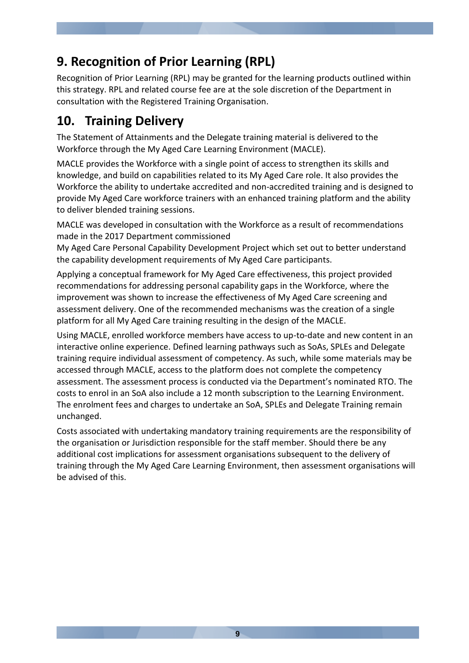# **9. Recognition of Prior Learning (RPL)**

Recognition of Prior Learning (RPL) may be granted for the learning products outlined within this strategy. RPL and related course fee are at the sole discretion of the Department in consultation with the Registered Training Organisation.

# <span id="page-8-0"></span>**10. Training Delivery**

The Statement of Attainments and the Delegate training material is delivered to the Workforce through the My Aged Care Learning Environment (MACLE).

MACLE provides the Workforce with a single point of access to strengthen its skills and knowledge, and build on capabilities related to its My Aged Care role. It also provides the Workforce the ability to undertake accredited and non-accredited training and is designed to provide My Aged Care workforce trainers with an enhanced training platform and the ability to deliver blended training sessions.

MACLE was developed in consultation with the Workforce as a result of recommendations made in the 2017 Department commissioned

My Aged Care Personal Capability Development Project which set out to better understand the capability development requirements of My Aged Care participants.

Applying a conceptual framework for My Aged Care effectiveness, this project provided recommendations for addressing personal capability gaps in the Workforce, where the improvement was shown to increase the effectiveness of My Aged Care screening and assessment delivery. One of the recommended mechanisms was the creation of a single platform for all My Aged Care training resulting in the design of the MACLE.

Using MACLE, enrolled workforce members have access to up-to-date and new content in an interactive online experience. Defined learning pathways such as SoAs, SPLEs and Delegate training require individual assessment of competency. As such, while some materials may be accessed through MACLE, access to the platform does not complete the competency assessment. The assessment process is conducted via the Department's nominated RTO. The costs to enrol in an SoA also include a 12 month subscription to the Learning Environment. The enrolment fees and charges to undertake an SoA, SPLEs and Delegate Training remain unchanged.

Costs associated with undertaking mandatory training requirements are the responsibility of the organisation or Jurisdiction responsible for the staff member. Should there be any additional cost implications for assessment organisations subsequent to the delivery of training through the My Aged Care Learning Environment, then assessment organisations will be advised of this.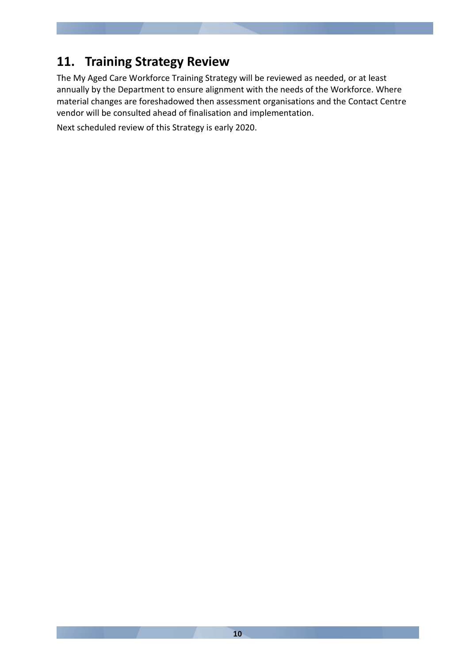# **11. Training Strategy Review**

The My Aged Care Workforce Training Strategy will be reviewed as needed, or at least annually by the Department to ensure alignment with the needs of the Workforce. Where material changes are foreshadowed then assessment organisations and the Contact Centre vendor will be consulted ahead of finalisation and implementation.

Next scheduled review of this Strategy is early 2020.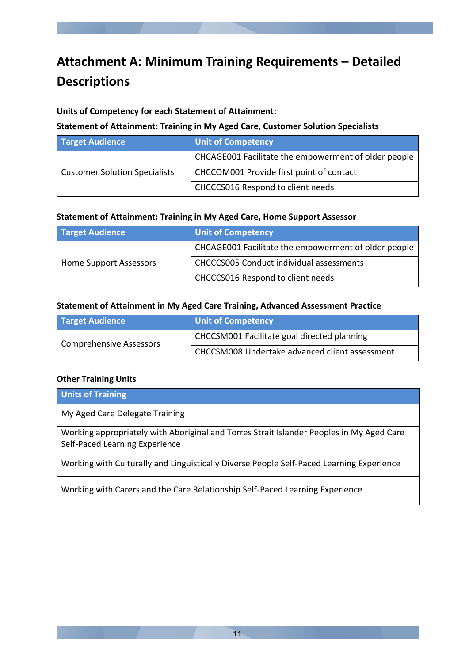# **Attachment A: Minimum Training Requirements – Detailed Descriptions**

#### **Units of Competency for each Statement of Attainment:**

#### **Statement of Attainment: Training in My Aged Care, Customer Solution Specialists**

| <b>Target Audience</b>               | <b>Unit of Competency</b>                            |
|--------------------------------------|------------------------------------------------------|
| <b>Customer Solution Specialists</b> | CHCAGE001 Facilitate the empowerment of older people |
|                                      | CHCCOM001 Provide first point of contact             |
|                                      | CHCCCS016 Respond to client needs                    |

#### **Statement of Attainment: Training in My Aged Care, Home Support Assessor**

| <b>Target Audience</b> | <b>Unit of Competency</b>                            |
|------------------------|------------------------------------------------------|
| Home Support Assessors | CHCAGE001 Facilitate the empowerment of older people |
|                        | <b>CHCCCS005 Conduct individual assessments</b>      |
|                        | <b>CHCCCS016 Respond to client needs</b>             |

#### **Statement of Attainment in My Aged Care Training, Advanced Assessment Practice**

| <b>Target Audience</b>  | <b>Unit of Competency</b>                      |
|-------------------------|------------------------------------------------|
| Comprehensive Assessors | CHCCSM001 Facilitate goal directed planning    |
|                         | CHCCSM008 Undertake advanced client assessment |

#### **Other Training Units**

| <b>Units of Training</b>                                                                                                   |
|----------------------------------------------------------------------------------------------------------------------------|
| My Aged Care Delegate Training                                                                                             |
| Working appropriately with Aboriginal and Torres Strait Islander Peoples in My Aged Care<br>Self-Paced Learning Experience |
| Working with Culturally and Linguistically Diverse People Self-Paced Learning Experience                                   |
| Working with Carers and the Care Relationship Self-Paced Learning Experience                                               |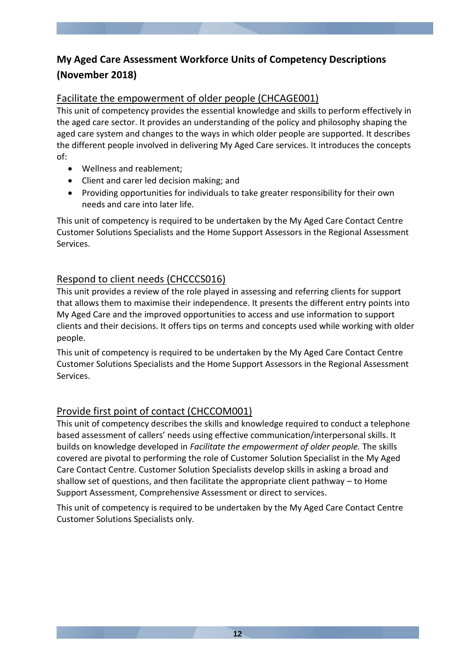### **My Aged Care Assessment Workforce Units of Competency Descriptions (November 2018)**

### Facilitate the empowerment of older people (CHCAGE001)

This unit of competency provides the essential knowledge and skills to perform effectively in the aged care sector. It provides an understanding of the policy and philosophy shaping the aged care system and changes to the ways in which older people are supported. It describes the different people involved in delivering My Aged Care services. It introduces the concepts of:

- Wellness and reablement;
- Client and carer led decision making; and
- Providing opportunities for individuals to take greater responsibility for their own needs and care into later life.

This unit of competency is required to be undertaken by the My Aged Care Contact Centre Customer Solutions Specialists and the Home Support Assessors in the Regional Assessment Services.

### Respond to client needs (CHCCCS016)

This unit provides a review of the role played in assessing and referring clients for support that allows them to maximise their independence. It presents the different entry points into My Aged Care and the improved opportunities to access and use information to support clients and their decisions. It offers tips on terms and concepts used while working with older people.

This unit of competency is required to be undertaken by the My Aged Care Contact Centre Customer Solutions Specialists and the Home Support Assessors in the Regional Assessment Services.

### Provide first point of contact (CHCCOM001)

This unit of competency describes the skills and knowledge required to conduct a telephone based assessment of callers' needs using effective communication/interpersonal skills. It builds on knowledge developed in *Facilitate the empowerment of older people.* The skills covered are pivotal to performing the role of Customer Solution Specialist in the My Aged Care Contact Centre. Customer Solution Specialists develop skills in asking a broad and shallow set of questions, and then facilitate the appropriate client pathway – to Home Support Assessment, Comprehensive Assessment or direct to services.

This unit of competency is required to be undertaken by the My Aged Care Contact Centre Customer Solutions Specialists only.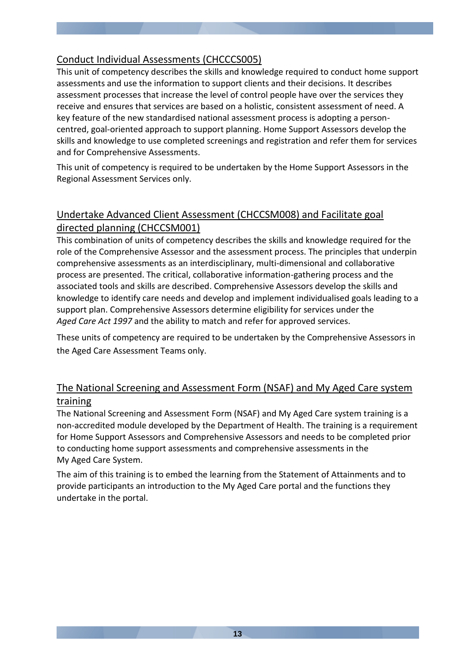### Conduct Individual Assessments (CHCCCS005)

This unit of competency describes the skills and knowledge required to conduct home support assessments and use the information to support clients and their decisions. It describes assessment processes that increase the level of control people have over the services they receive and ensures that services are based on a holistic, consistent assessment of need. A key feature of the new standardised national assessment process is adopting a personcentred, goal-oriented approach to support planning. Home Support Assessors develop the skills and knowledge to use completed screenings and registration and refer them for services and for Comprehensive Assessments.

This unit of competency is required to be undertaken by the Home Support Assessors in the Regional Assessment Services only.

### Undertake Advanced Client Assessment (CHCCSM008) and Facilitate goal directed planning (CHCCSM001)

This combination of units of competency describes the skills and knowledge required for the role of the Comprehensive Assessor and the assessment process. The principles that underpin comprehensive assessments as an interdisciplinary, multi-dimensional and collaborative process are presented. The critical, collaborative information-gathering process and the associated tools and skills are described. Comprehensive Assessors develop the skills and knowledge to identify care needs and develop and implement individualised goals leading to a support plan. Comprehensive Assessors determine eligibility for services under the *Aged Care Act 1997* and the ability to match and refer for approved services.

These units of competency are required to be undertaken by the Comprehensive Assessors in the Aged Care Assessment Teams only.

### The National Screening and Assessment Form (NSAF) and My Aged Care system training

The National Screening and Assessment Form (NSAF) and My Aged Care system training is a non-accredited module developed by the Department of Health. The training is a requirement for Home Support Assessors and Comprehensive Assessors and needs to be completed prior to conducting home support assessments and comprehensive assessments in the My Aged Care System.

The aim of this training is to embed the learning from the Statement of Attainments and to provide participants an introduction to the My Aged Care portal and the functions they undertake in the portal.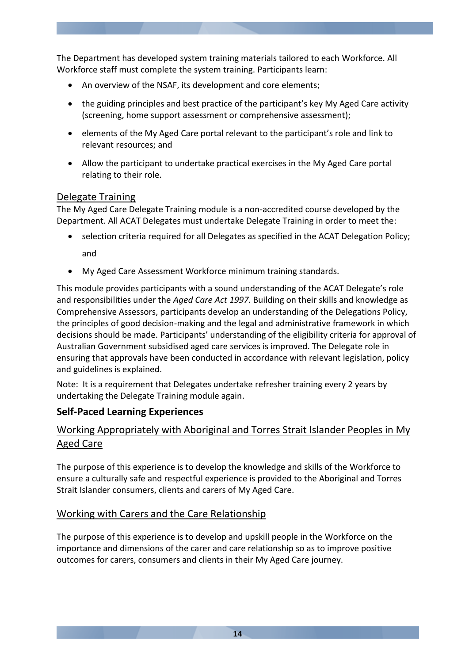The Department has developed system training materials tailored to each Workforce. All Workforce staff must complete the system training. Participants learn:

- An overview of the NSAF, its development and core elements;
- the guiding principles and best practice of the participant's key My Aged Care activity (screening, home support assessment or comprehensive assessment);
- elements of the My Aged Care portal relevant to the participant's role and link to relevant resources; and
- Allow the participant to undertake practical exercises in the My Aged Care portal relating to their role.

### Delegate Training

The My Aged Care Delegate Training module is a non-accredited course developed by the Department. All ACAT Delegates must undertake Delegate Training in order to meet the:

- selection criteria required for all Delegates as specified in the ACAT Delegation Policy; and
- My Aged Care Assessment Workforce minimum training standards.

This module provides participants with a sound understanding of the ACAT Delegate's role and responsibilities under the *Aged Care Act 1997*. Building on their skills and knowledge as Comprehensive Assessors, participants develop an understanding of the Delegations Policy, the principles of good decision-making and the legal and administrative framework in which decisions should be made. Participants' understanding of the eligibility criteria for approval of Australian Government subsidised aged care services is improved. The Delegate role in ensuring that approvals have been conducted in accordance with relevant legislation, policy and guidelines is explained.

Note: It is a requirement that Delegates undertake refresher training every 2 years by undertaking the Delegate Training module again.

### **Self-Paced Learning Experiences**

### Working Appropriately with Aboriginal and Torres Strait Islander Peoples in My Aged Care

The purpose of this experience is to develop the knowledge and skills of the Workforce to ensure a culturally safe and respectful experience is provided to the Aboriginal and Torres Strait Islander consumers, clients and carers of My Aged Care.

### Working with Carers and the Care Relationship

The purpose of this experience is to develop and upskill people in the Workforce on the importance and dimensions of the carer and care relationship so as to improve positive outcomes for carers, consumers and clients in their My Aged Care journey.